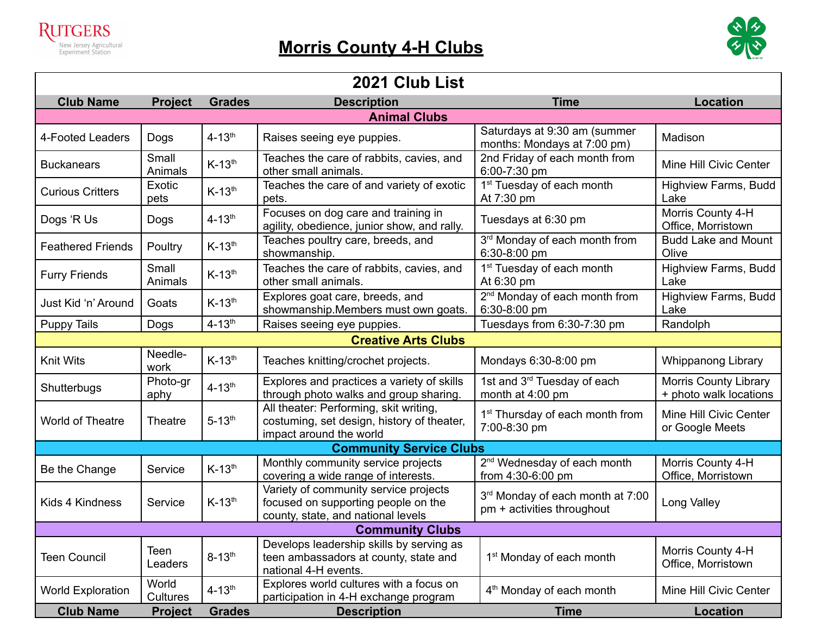



| 2021 Club List                 |                   |                        |                                                                                                                    |                                                                |                                                        |  |  |  |
|--------------------------------|-------------------|------------------------|--------------------------------------------------------------------------------------------------------------------|----------------------------------------------------------------|--------------------------------------------------------|--|--|--|
| <b>Club Name</b>               | <b>Project</b>    | <b>Grades</b>          | <b>Description</b>                                                                                                 | <b>Time</b>                                                    | <b>Location</b>                                        |  |  |  |
| <b>Animal Clubs</b>            |                   |                        |                                                                                                                    |                                                                |                                                        |  |  |  |
| 4-Footed Leaders               | Dogs              | $4 - 13$ <sup>th</sup> | Raises seeing eye puppies.                                                                                         | Saturdays at 9:30 am (summer<br>months: Mondays at 7:00 pm)    | Madison                                                |  |  |  |
| <b>Buckanears</b>              | Small<br>Animals  | $K-13th$               | Teaches the care of rabbits, cavies, and<br>other small animals.                                                   | 2nd Friday of each month from<br>6:00-7:30 pm                  | Mine Hill Civic Center                                 |  |  |  |
| <b>Curious Critters</b>        | Exotic<br>pets    | $K-13th$               | Teaches the care of and variety of exotic<br>pets.                                                                 | 1 <sup>st</sup> Tuesday of each month<br>At 7:30 pm            | <b>Highview Farms, Budd</b><br>Lake                    |  |  |  |
| Dogs 'R Us                     | Dogs              | $4 - 13$ <sup>th</sup> | Focuses on dog care and training in<br>agility, obedience, junior show, and rally.                                 | Tuesdays at 6:30 pm                                            | Morris County 4-H<br>Office, Morristown                |  |  |  |
| <b>Feathered Friends</b>       | Poultry           | $K-13th$               | Teaches poultry care, breeds, and<br>showmanship.                                                                  | 3rd Monday of each month from<br>6:30-8:00 pm                  | <b>Budd Lake and Mount</b><br>Olive                    |  |  |  |
| <b>Furry Friends</b>           | Small<br>Animals  | $K-13th$               | Teaches the care of rabbits, cavies, and<br>other small animals.                                                   | 1 <sup>st</sup> Tuesday of each month<br>At 6:30 pm            | <b>Highview Farms, Budd</b><br>Lake                    |  |  |  |
| Just Kid 'n' Around            | Goats             | $K-13th$               | Explores goat care, breeds, and<br>showmanship.Members must own goats.                                             | 2 <sup>nd</sup> Monday of each month from<br>6:30-8:00 pm      | Highview Farms, Budd<br>Lake                           |  |  |  |
| <b>Puppy Tails</b>             | Dogs              | $4 - 13$ <sup>th</sup> | Raises seeing eye puppies.                                                                                         | Tuesdays from 6:30-7:30 pm                                     | Randolph                                               |  |  |  |
| <b>Creative Arts Clubs</b>     |                   |                        |                                                                                                                    |                                                                |                                                        |  |  |  |
| Knit Wits                      | Needle-<br>work   | $K-13th$               | Teaches knitting/crochet projects.                                                                                 | Mondays 6:30-8:00 pm                                           | <b>Whippanong Library</b>                              |  |  |  |
| Shutterbugs                    | Photo-gr<br>aphy  | $4 - 13$ <sup>th</sup> | Explores and practices a variety of skills<br>through photo walks and group sharing.                               | 1st and 3 <sup>rd</sup> Tuesday of each<br>month at 4:00 pm    | <b>Morris County Library</b><br>+ photo walk locations |  |  |  |
| World of Theatre               | Theatre           | $5 - 13$ <sup>th</sup> | All theater: Performing, skit writing,<br>costuming, set design, history of theater,<br>impact around the world    | 1 <sup>st</sup> Thursday of each month from<br>7:00-8:30 pm    | Mine Hill Civic Center<br>or Google Meets              |  |  |  |
| <b>Community Service Clubs</b> |                   |                        |                                                                                                                    |                                                                |                                                        |  |  |  |
| Be the Change                  | Service           | $K-13th$               | Monthly community service projects<br>covering a wide range of interests.                                          | 2 <sup>nd</sup> Wednesday of each month<br>from 4:30-6:00 pm   | Morris County 4-H<br>Office, Morristown                |  |  |  |
| Kids 4 Kindness                | Service           | $K-13th$               | Variety of community service projects<br>focused on supporting people on the<br>county, state, and national levels | 3rd Monday of each month at 7:00<br>pm + activities throughout | Long Valley                                            |  |  |  |
| <b>Community Clubs</b>         |                   |                        |                                                                                                                    |                                                                |                                                        |  |  |  |
| <b>Teen Council</b>            | Teen<br>Leaders   | $8 - 13$ <sup>th</sup> | Develops leadership skills by serving as<br>teen ambassadors at county, state and<br>national 4-H events.          | 1 <sup>st</sup> Monday of each month                           | Morris County 4-H<br>Office, Morristown                |  |  |  |
| <b>World Exploration</b>       | World<br>Cultures | $4 - 13$ <sup>th</sup> | Explores world cultures with a focus on<br>participation in 4-H exchange program                                   | 4 <sup>th</sup> Monday of each month                           | Mine Hill Civic Center                                 |  |  |  |
| <b>Club Name</b>               | <b>Project</b>    | <b>Grades</b>          | <b>Description</b>                                                                                                 | <b>Time</b>                                                    | <b>Location</b>                                        |  |  |  |